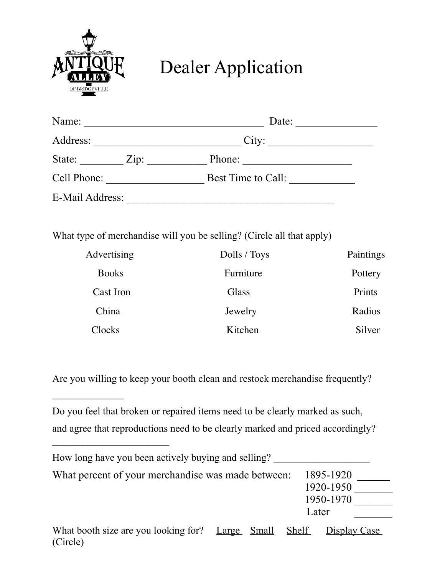

 $\frac{1}{2}$ 

## Dealer Application

| Name:           | Date:              |  |  |
|-----------------|--------------------|--|--|
| Address:        | City:              |  |  |
| State:<br>Zip:  | Phone:             |  |  |
| Cell Phone:     | Best Time to Call: |  |  |
| E-Mail Address: |                    |  |  |

What type of merchandise will you be selling? (Circle all that apply)

| Advertising  | Dolls / Toys | Paintings |
|--------------|--------------|-----------|
| <b>Books</b> | Furniture    | Pottery   |
| Cast Iron    | Glass        | Prints    |
| China        | Jewelry      | Radios    |
| Clocks       | Kitchen      | Silver    |

Are you willing to keep your booth clean and restock merchandise frequently?

Do you feel that broken or repaired items need to be clearly marked as such, and agree that reproductions need to be clearly marked and priced accordingly?

| How long have you been actively buying and selling?             |  |  |              |              |
|-----------------------------------------------------------------|--|--|--------------|--------------|
| What percent of your merchandise was made between:<br>1895-1920 |  |  |              |              |
|                                                                 |  |  |              | 1920-1950    |
|                                                                 |  |  |              | 1950-1970    |
|                                                                 |  |  |              | Later        |
| What booth size are you looking for? Large Small<br>(Circle)    |  |  | <b>Shelf</b> | Display Case |